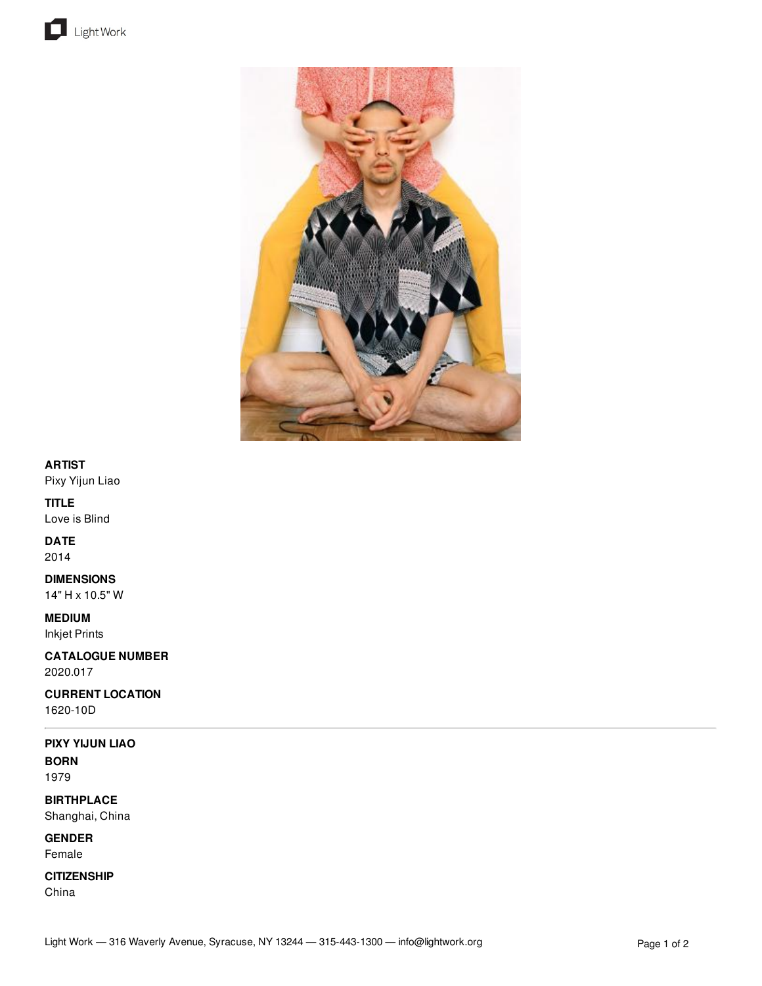



## **ARTIST**

Pixy Yijun Liao

## **TITLE**

Love is Blind

# **DATE**

2014

## **DIMENSIONS**

14" H x 10.5" W

**MEDIUM**

Inkjet Prints

**CATALOGUE NUMBER** 2020.017

**CURRENT LOCATION**

1620-10D

## **PIXY YIJUN LIAO**

**BORN** 1979

**BIRTHPLACE** Shanghai, China

**GENDER** Female

#### **CITIZENSHIP**

China